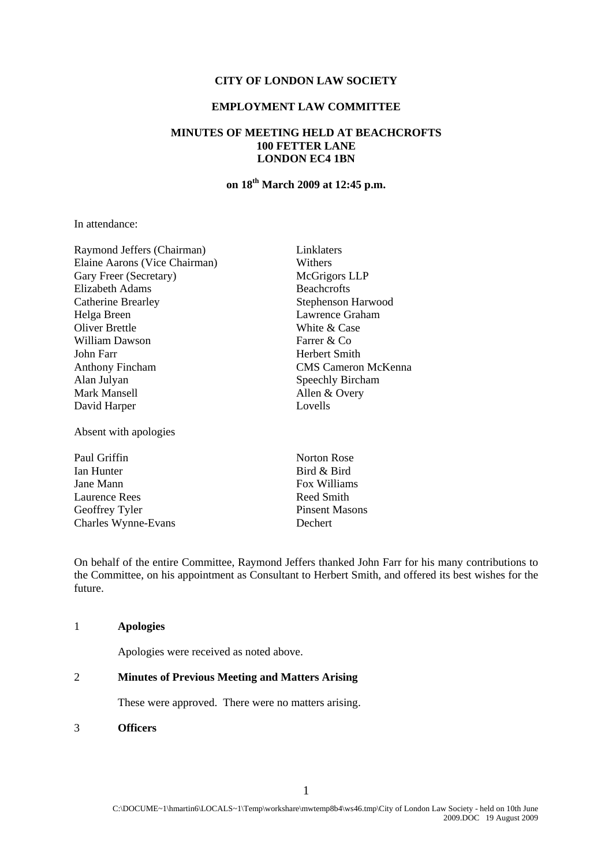## **CITY OF LONDON LAW SOCIETY**

# **EMPLOYMENT LAW COMMITTEE**

# **MINUTES OF MEETING HELD AT BEACHCROFTS 100 FETTER LANE LONDON EC4 1BN**

# **on 18th March 2009 at 12:45 p.m.**

In attendance:

Raymond Jeffers (Chairman) Linklaters Elaine Aarons (Vice Chairman) Withers Gary Freer (Secretary) McGrigors LLP Elizabeth Adams Beachcrofts Catherine Brearley Stephenson Harwood Helga Breen Lawrence Graham Oliver Brettle White & Case William Dawson Farrer & Co John Farr Herbert Smith Anthony Fincham CMS Cameron McKenna Alan Julyan Speechly Bircham Mark Mansell Allen & Overy David Harper Lovells

Absent with apologies

Paul Griffin Norton Rose Ian Hunter Bird & Bird Jane Mann **Fox Williams** Laurence Rees Reed Smith Geoffrey Tyler Pinsent Masons Charles Wynne-Evans Dechert

On behalf of the entire Committee, Raymond Jeffers thanked John Farr for his many contributions to the Committee, on his appointment as Consultant to Herbert Smith, and offered its best wishes for the future.

## 1 **Apologies**

Apologies were received as noted above.

# 2 **Minutes of Previous Meeting and Matters Arising**

These were approved. There were no matters arising.

#### 3 **Officers**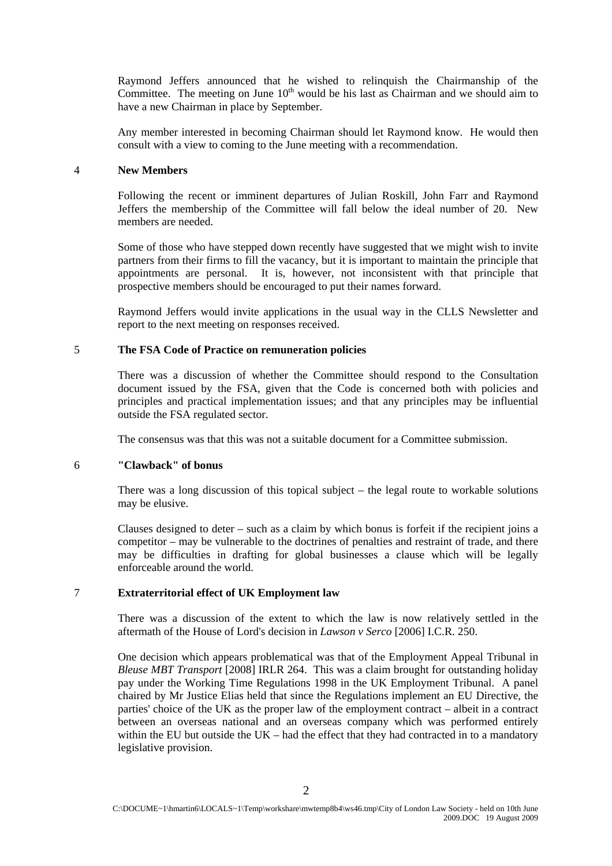Raymond Jeffers announced that he wished to relinquish the Chairmanship of the Committee. The meeting on June  $10<sup>th</sup>$  would be his last as Chairman and we should aim to have a new Chairman in place by September.

Any member interested in becoming Chairman should let Raymond know. He would then consult with a view to coming to the June meeting with a recommendation.

## 4 **New Members**

Following the recent or imminent departures of Julian Roskill, John Farr and Raymond Jeffers the membership of the Committee will fall below the ideal number of 20. New members are needed.

Some of those who have stepped down recently have suggested that we might wish to invite partners from their firms to fill the vacancy, but it is important to maintain the principle that appointments are personal. It is, however, not inconsistent with that principle that prospective members should be encouraged to put their names forward.

Raymond Jeffers would invite applications in the usual way in the CLLS Newsletter and report to the next meeting on responses received.

## 5 **The FSA Code of Practice on remuneration policies**

There was a discussion of whether the Committee should respond to the Consultation document issued by the FSA, given that the Code is concerned both with policies and principles and practical implementation issues; and that any principles may be influential outside the FSA regulated sector.

The consensus was that this was not a suitable document for a Committee submission.

## 6 **"Clawback" of bonus**

There was a long discussion of this topical subject – the legal route to workable solutions may be elusive.

Clauses designed to deter – such as a claim by which bonus is forfeit if the recipient joins a competitor – may be vulnerable to the doctrines of penalties and restraint of trade, and there may be difficulties in drafting for global businesses a clause which will be legally enforceable around the world.

## 7 **Extraterritorial effect of UK Employment law**

There was a discussion of the extent to which the law is now relatively settled in the aftermath of the House of Lord's decision in *Lawson v Serco* [2006] I.C.R. 250.

One decision which appears problematical was that of the Employment Appeal Tribunal in *Bleuse MBT Transport* [2008] IRLR 264. This was a claim brought for outstanding holiday pay under the Working Time Regulations 1998 in the UK Employment Tribunal. A panel chaired by Mr Justice Elias held that since the Regulations implement an EU Directive, the parties' choice of the UK as the proper law of the employment contract – albeit in a contract between an overseas national and an overseas company which was performed entirely within the EU but outside the UK – had the effect that they had contracted in to a mandatory legislative provision.